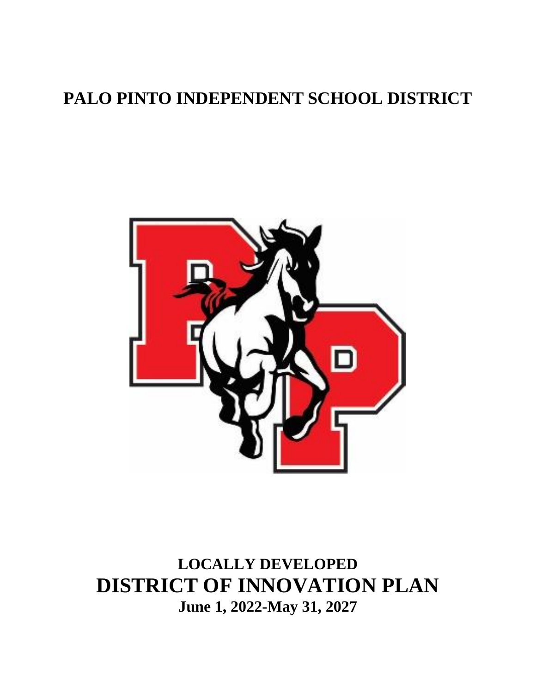# **PALO PINTO INDEPENDENT SCHOOL DISTRICT**



**LOCALLY DEVELOPED DISTRICT OF INNOVATION PLAN June 1, 2022-May 31, 2027**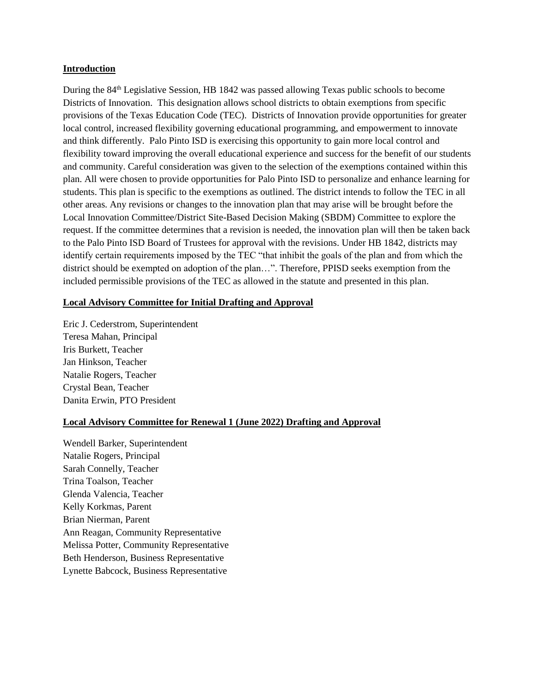#### **Introduction**

During the 84th Legislative Session, HB 1842 was passed allowing Texas public schools to become Districts of Innovation. This designation allows school districts to obtain exemptions from specific provisions of the Texas Education Code (TEC). Districts of Innovation provide opportunities for greater local control, increased flexibility governing educational programming, and empowerment to innovate and think differently. Palo Pinto ISD is exercising this opportunity to gain more local control and flexibility toward improving the overall educational experience and success for the benefit of our students and community. Careful consideration was given to the selection of the exemptions contained within this plan. All were chosen to provide opportunities for Palo Pinto ISD to personalize and enhance learning for students. This plan is specific to the exemptions as outlined. The district intends to follow the TEC in all other areas. Any revisions or changes to the innovation plan that may arise will be brought before the Local Innovation Committee/District Site-Based Decision Making (SBDM) Committee to explore the request. If the committee determines that a revision is needed, the innovation plan will then be taken back to the Palo Pinto ISD Board of Trustees for approval with the revisions. Under HB 1842, districts may identify certain requirements imposed by the TEC "that inhibit the goals of the plan and from which the district should be exempted on adoption of the plan…". Therefore, PPISD seeks exemption from the included permissible provisions of the TEC as allowed in the statute and presented in this plan.

### **Local Advisory Committee for Initial Drafting and Approval**

Eric J. Cederstrom, Superintendent Teresa Mahan, Principal Iris Burkett, Teacher Jan Hinkson, Teacher Natalie Rogers, Teacher Crystal Bean, Teacher Danita Erwin, PTO President

### **Local Advisory Committee for Renewal 1 (June 2022) Drafting and Approval**

Wendell Barker, Superintendent Natalie Rogers, Principal Sarah Connelly, Teacher Trina Toalson, Teacher Glenda Valencia, Teacher Kelly Korkmas, Parent Brian Nierman, Parent Ann Reagan, Community Representative Melissa Potter, Community Representative Beth Henderson, Business Representative Lynette Babcock, Business Representative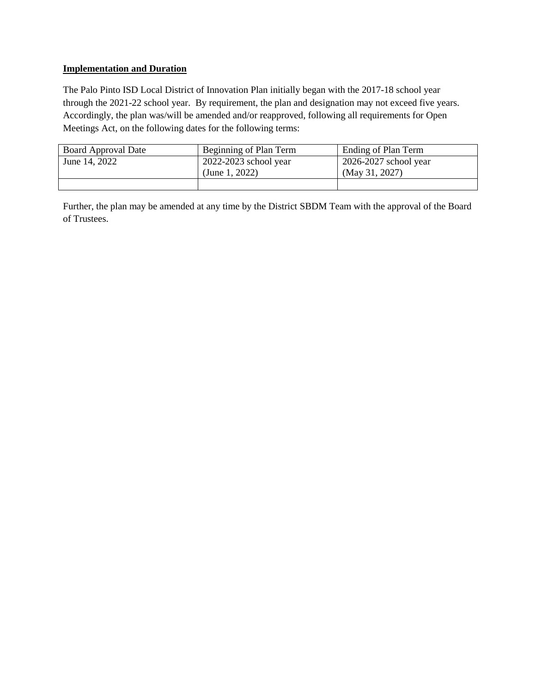### **Implementation and Duration**

The Palo Pinto ISD Local District of Innovation Plan initially began with the 2017-18 school year through the 2021-22 school year. By requirement, the plan and designation may not exceed five years. Accordingly, the plan was/will be amended and/or reapproved, following all requirements for Open Meetings Act, on the following dates for the following terms:

| <b>Board Approval Date</b> | Beginning of Plan Term    | Ending of Plan Term       |  |
|----------------------------|---------------------------|---------------------------|--|
| June 14, 2022              | $2022 - 2023$ school year | $2026 - 2027$ school year |  |
|                            | (June 1, 2022)            | (May 31, 2027)            |  |
|                            |                           |                           |  |

Further, the plan may be amended at any time by the District SBDM Team with the approval of the Board of Trustees.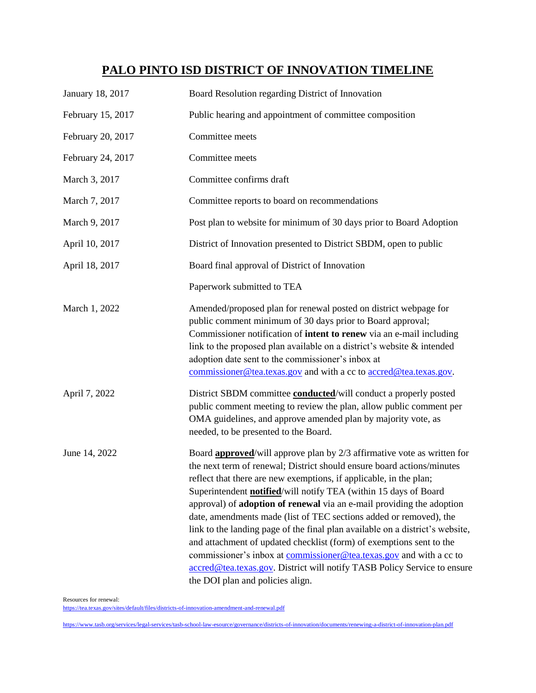# **PALO PINTO ISD DISTRICT OF INNOVATION TIMELINE**

| January 18, 2017  | Board Resolution regarding District of Innovation                                                                                                                                                                                                                                                                                                                                                                                                                                                                                                                                                                                                                                                                                                                                                          |
|-------------------|------------------------------------------------------------------------------------------------------------------------------------------------------------------------------------------------------------------------------------------------------------------------------------------------------------------------------------------------------------------------------------------------------------------------------------------------------------------------------------------------------------------------------------------------------------------------------------------------------------------------------------------------------------------------------------------------------------------------------------------------------------------------------------------------------------|
| February 15, 2017 | Public hearing and appointment of committee composition                                                                                                                                                                                                                                                                                                                                                                                                                                                                                                                                                                                                                                                                                                                                                    |
| February 20, 2017 | Committee meets                                                                                                                                                                                                                                                                                                                                                                                                                                                                                                                                                                                                                                                                                                                                                                                            |
| February 24, 2017 | Committee meets                                                                                                                                                                                                                                                                                                                                                                                                                                                                                                                                                                                                                                                                                                                                                                                            |
| March 3, 2017     | Committee confirms draft                                                                                                                                                                                                                                                                                                                                                                                                                                                                                                                                                                                                                                                                                                                                                                                   |
| March 7, 2017     | Committee reports to board on recommendations                                                                                                                                                                                                                                                                                                                                                                                                                                                                                                                                                                                                                                                                                                                                                              |
| March 9, 2017     | Post plan to website for minimum of 30 days prior to Board Adoption                                                                                                                                                                                                                                                                                                                                                                                                                                                                                                                                                                                                                                                                                                                                        |
| April 10, 2017    | District of Innovation presented to District SBDM, open to public                                                                                                                                                                                                                                                                                                                                                                                                                                                                                                                                                                                                                                                                                                                                          |
| April 18, 2017    | Board final approval of District of Innovation                                                                                                                                                                                                                                                                                                                                                                                                                                                                                                                                                                                                                                                                                                                                                             |
|                   | Paperwork submitted to TEA                                                                                                                                                                                                                                                                                                                                                                                                                                                                                                                                                                                                                                                                                                                                                                                 |
| March 1, 2022     | Amended/proposed plan for renewal posted on district webpage for<br>public comment minimum of 30 days prior to Board approval;<br>Commissioner notification of intent to renew via an e-mail including<br>link to the proposed plan available on a district's website $\&$ intended<br>adoption date sent to the commissioner's inbox at<br>commissioner@tea.texas.gov and with a cc to accred@tea.texas.gov.                                                                                                                                                                                                                                                                                                                                                                                              |
| April 7, 2022     | District SBDM committee <b>conducted</b> /will conduct a properly posted<br>public comment meeting to review the plan, allow public comment per<br>OMA guidelines, and approve amended plan by majority vote, as<br>needed, to be presented to the Board.                                                                                                                                                                                                                                                                                                                                                                                                                                                                                                                                                  |
| June 14, 2022     | Board <b>approved</b> /will approve plan by 2/3 affirmative vote as written for<br>the next term of renewal; District should ensure board actions/minutes<br>reflect that there are new exemptions, if applicable, in the plan;<br>Superintendent <b>notified</b> /will notify TEA (within 15 days of Board<br>approval) of adoption of renewal via an e-mail providing the adoption<br>date, amendments made (list of TEC sections added or removed), the<br>link to the landing page of the final plan available on a district's website,<br>and attachment of updated checklist (form) of exemptions sent to the<br>commissioner's inbox at commissioner@tea.texas.gov and with a cc to<br>accred@tea.texas.gov. District will notify TASB Policy Service to ensure<br>the DOI plan and policies align. |

Resources for renewal:

<https://tea.texas.gov/sites/default/files/districts-of-innovation-amendment-and-renewal.pdf>

<https://www.tasb.org/services/legal-services/tasb-school-law-esource/governance/districts-of-innovation/documents/renewing-a-district-of-innovation-plan.pdf>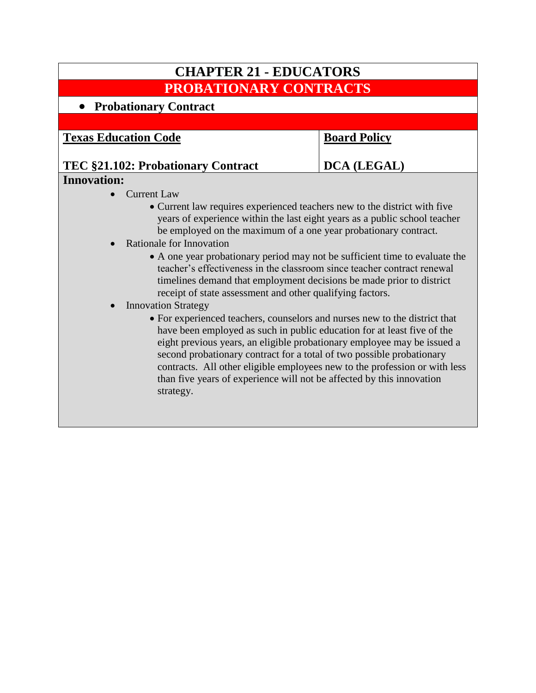# **CHAPTER 21 - EDUCATORS PROBATIONARY CONTRACTS**

# **Probationary Contract**

**Texas Education Code**

## **Board Policy**

**DCA (LEGAL)**

### **TEC §21.102: Probationary Contract Innovation:**

- Current Law
	- Current law requires experienced teachers new to the district with five years of experience within the last eight years as a public school teacher be employed on the maximum of a one year probationary contract.
- Rationale for Innovation
	- A one year probationary period may not be sufficient time to evaluate the teacher's effectiveness in the classroom since teacher contract renewal timelines demand that employment decisions be made prior to district receipt of state assessment and other qualifying factors.
- Innovation Strategy
	- For experienced teachers, counselors and nurses new to the district that have been employed as such in public education for at least five of the eight previous years, an eligible probationary employee may be issued a second probationary contract for a total of two possible probationary contracts. All other eligible employees new to the profession or with less than five years of experience will not be affected by this innovation strategy.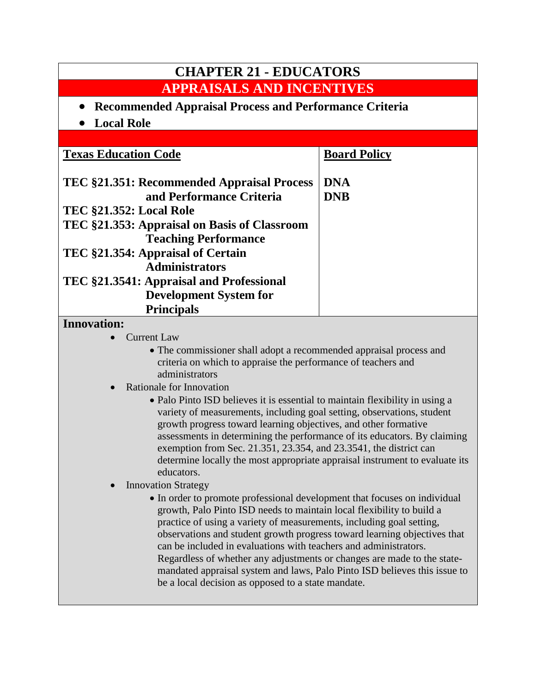| <b>CHAPTER 21 - EDUCATORS</b>                                                                                                                                                                                                                                                                                                                           |                          |  |
|---------------------------------------------------------------------------------------------------------------------------------------------------------------------------------------------------------------------------------------------------------------------------------------------------------------------------------------------------------|--------------------------|--|
| <b>APPRAISALS AND INCENTIVES</b>                                                                                                                                                                                                                                                                                                                        |                          |  |
| <b>Recommended Appraisal Process and Performance Criteria</b>                                                                                                                                                                                                                                                                                           |                          |  |
| <b>Local Role</b>                                                                                                                                                                                                                                                                                                                                       |                          |  |
|                                                                                                                                                                                                                                                                                                                                                         |                          |  |
| <b>Texas Education Code</b>                                                                                                                                                                                                                                                                                                                             | <b>Board Policy</b>      |  |
| TEC §21.351: Recommended Appraisal Process<br>and Performance Criteria<br><b>TEC §21.352: Local Role</b><br>TEC §21.353: Appraisal on Basis of Classroom<br><b>Teaching Performance</b><br>TEC §21.354: Appraisal of Certain<br><b>Administrators</b><br>TEC §21.3541: Appraisal and Professional<br><b>Development System for</b><br><b>Principals</b> | <b>DNA</b><br><b>DNB</b> |  |
| <b>Innovation:</b>                                                                                                                                                                                                                                                                                                                                      |                          |  |
| Current Law                                                                                                                                                                                                                                                                                                                                             |                          |  |

- The commissioner shall adopt a recommended appraisal process and criteria on which to appraise the performance of teachers and administrators
- Rationale for Innovation
	- Palo Pinto ISD believes it is essential to maintain flexibility in using a variety of measurements, including goal setting, observations, student growth progress toward learning objectives, and other formative assessments in determining the performance of its educators. By claiming exemption from Sec. 21.351, 23.354, and 23.3541, the district can determine locally the most appropriate appraisal instrument to evaluate its educators.
- Innovation Strategy
	- In order to promote professional development that focuses on individual growth, Palo Pinto ISD needs to maintain local flexibility to build a practice of using a variety of measurements, including goal setting, observations and student growth progress toward learning objectives that can be included in evaluations with teachers and administrators. Regardless of whether any adjustments or changes are made to the statemandated appraisal system and laws, Palo Pinto ISD believes this issue to be a local decision as opposed to a state mandate.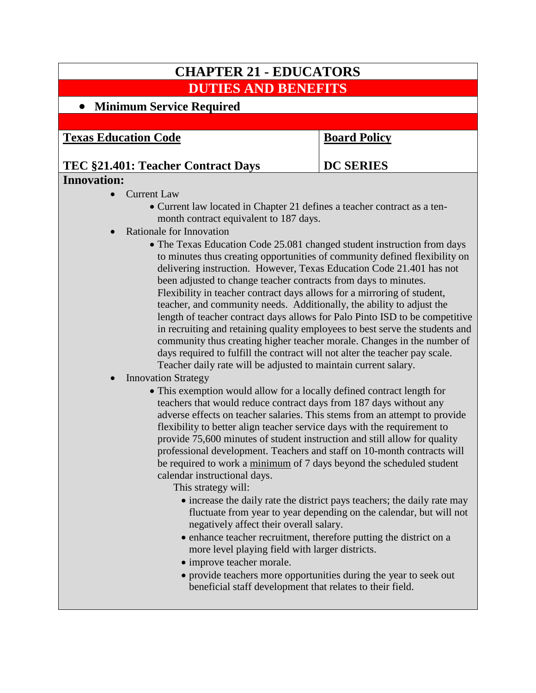# **CHAPTER 21 - EDUCATORS DUTIES AND BENEFITS Minimum Service Required Texas Education Code TEC §21.401: Teacher Contract Days Board Policy DC SERIES Innovation:** • Current Law

- Current law located in Chapter 21 defines a teacher contract as a tenmonth contract equivalent to 187 days.
- Rationale for Innovation
	- The Texas Education Code 25.081 changed student instruction from days to minutes thus creating opportunities of community defined flexibility on delivering instruction. However, Texas Education Code 21.401 has not been adjusted to change teacher contracts from days to minutes. Flexibility in teacher contract days allows for a mirroring of student, teacher, and community needs. Additionally, the ability to adjust the length of teacher contract days allows for Palo Pinto ISD to be competitive in recruiting and retaining quality employees to best serve the students and community thus creating higher teacher morale. Changes in the number of days required to fulfill the contract will not alter the teacher pay scale. Teacher daily rate will be adjusted to maintain current salary.

### Innovation Strategy

 This exemption would allow for a locally defined contract length for teachers that would reduce contract days from 187 days without any adverse effects on teacher salaries. This stems from an attempt to provide flexibility to better align teacher service days with the requirement to provide 75,600 minutes of student instruction and still allow for quality professional development. Teachers and staff on 10-month contracts will be required to work a minimum of 7 days beyond the scheduled student calendar instructional days.

This strategy will:

- increase the daily rate the district pays teachers; the daily rate may fluctuate from year to year depending on the calendar, but will not negatively affect their overall salary.
- enhance teacher recruitment, therefore putting the district on a more level playing field with larger districts.
- improve teacher morale.
- provide teachers more opportunities during the year to seek out beneficial staff development that relates to their field.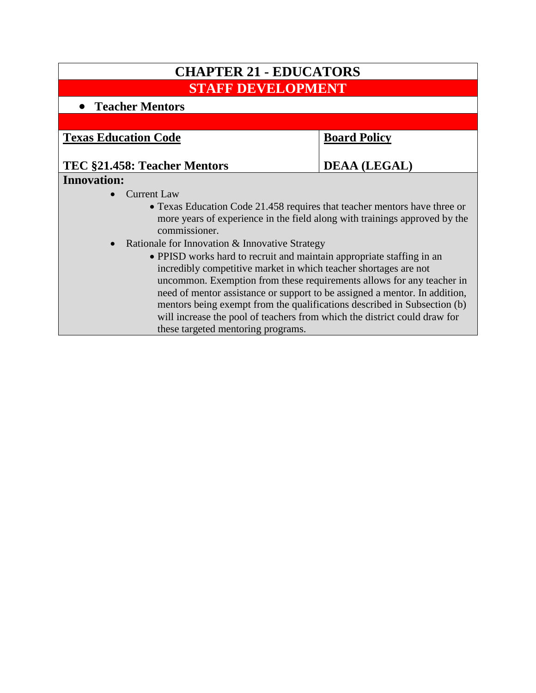| <b>CHAPTER 21 - EDUCATORS</b>                                                                                                                                                                                                                                                                                                                                                                                                                                                                   |                     |  |
|-------------------------------------------------------------------------------------------------------------------------------------------------------------------------------------------------------------------------------------------------------------------------------------------------------------------------------------------------------------------------------------------------------------------------------------------------------------------------------------------------|---------------------|--|
| <b>STAFF DEVELOPMENT</b>                                                                                                                                                                                                                                                                                                                                                                                                                                                                        |                     |  |
| • Teacher Mentors                                                                                                                                                                                                                                                                                                                                                                                                                                                                               |                     |  |
|                                                                                                                                                                                                                                                                                                                                                                                                                                                                                                 |                     |  |
| <b>Texas Education Code</b>                                                                                                                                                                                                                                                                                                                                                                                                                                                                     | <b>Board Policy</b> |  |
| TEC §21.458: Teacher Mentors                                                                                                                                                                                                                                                                                                                                                                                                                                                                    | <b>DEAA (LEGAL)</b> |  |
| <b>Innovation:</b>                                                                                                                                                                                                                                                                                                                                                                                                                                                                              |                     |  |
| <b>Current Law</b>                                                                                                                                                                                                                                                                                                                                                                                                                                                                              |                     |  |
| • Texas Education Code 21.458 requires that teacher mentors have three or<br>more years of experience in the field along with trainings approved by the<br>commissioner.                                                                                                                                                                                                                                                                                                                        |                     |  |
| Rationale for Innovation & Innovative Strategy                                                                                                                                                                                                                                                                                                                                                                                                                                                  |                     |  |
| • PPISD works hard to recruit and maintain appropriate staffing in an<br>incredibly competitive market in which teacher shortages are not<br>uncommon. Exemption from these requirements allows for any teacher in<br>need of mentor assistance or support to be assigned a mentor. In addition,<br>mentors being exempt from the qualifications described in Subsection (b)<br>will increase the pool of teachers from which the district could draw for<br>these targeted mentoring programs. |                     |  |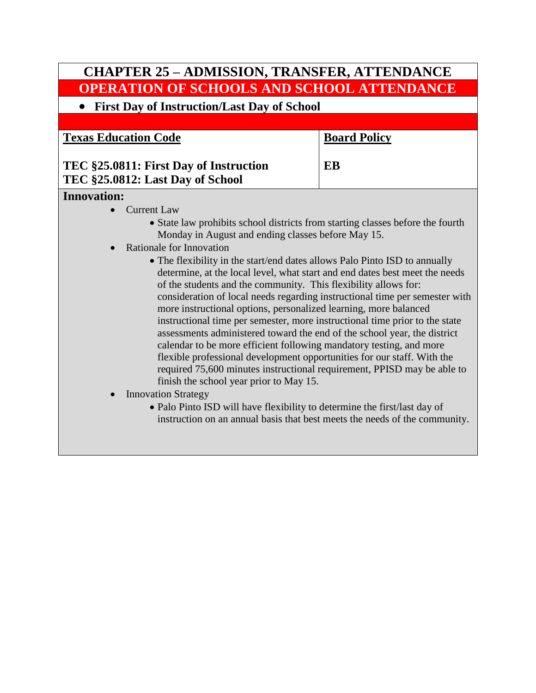# **CHAPTER 25 – ADMISSION, TRANSFER, ATTENDANCE OPERATION OF SCHOOLS AND SCHOOL ATTENDANCE**

## **First Day of Instruction/Last Day of School**

**Texas Education Code**

**Board Policy**

**EB**

## **TEC §25.0811: First Day of Instruction TEC §25.0812: Last Day of School**

### **Innovation:**

- Current Law
	- State law prohibits school districts from starting classes before the fourth Monday in August and ending classes before May 15.
- Rationale for Innovation
	- The flexibility in the start/end dates allows Palo Pinto ISD to annually determine, at the local level, what start and end dates best meet the needs of the students and the community. This flexibility allows for: consideration of local needs regarding instructional time per semester with more instructional options, personalized learning, more balanced instructional time per semester, more instructional time prior to the state assessments administered toward the end of the school year, the district calendar to be more efficient following mandatory testing, and more flexible professional development opportunities for our staff. With the required 75,600 minutes instructional requirement, PPISD may be able to finish the school year prior to May 15.
- Innovation Strategy
	- Palo Pinto ISD will have flexibility to determine the first/last day of instruction on an annual basis that best meets the needs of the community.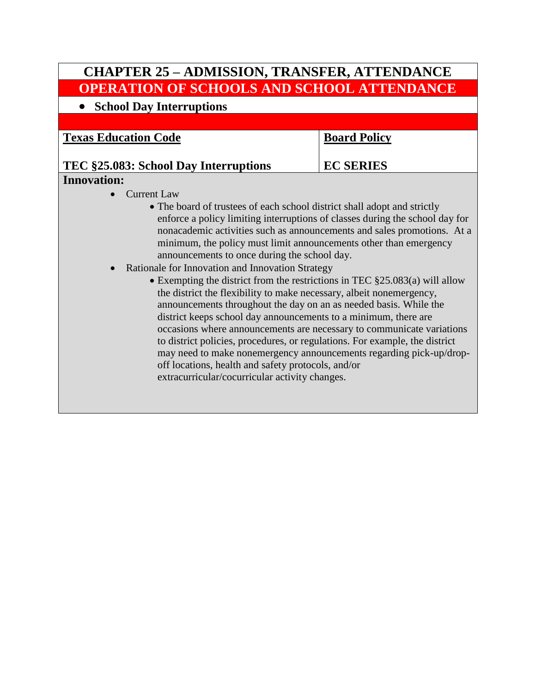# **CHAPTER 25 – ADMISSION, TRANSFER, ATTENDANCE OPERATION OF SCHOOLS AND SCHOOL ATTENDANCE**

**School Day Interruptions**

**Texas Education Code**

### **Board Policy**

**EC SERIES**

### **TEC §25.083: School Day Interruptions Innovation:**

### • Current Law

- The board of trustees of each school district shall adopt and strictly enforce a policy limiting interruptions of classes during the school day for nonacademic activities such as announcements and sales promotions. At a minimum, the policy must limit announcements other than emergency announcements to once during the school day.
- Rationale for Innovation and Innovation Strategy
	- Exempting the district from the restrictions in TEC  $\S 25.083(a)$  will allow the district the flexibility to make necessary, albeit nonemergency, announcements throughout the day on an as needed basis. While the district keeps school day announcements to a minimum, there are occasions where announcements are necessary to communicate variations to district policies, procedures, or regulations. For example, the district may need to make nonemergency announcements regarding pick-up/dropoff locations, health and safety protocols, and/or extracurricular/cocurricular activity changes.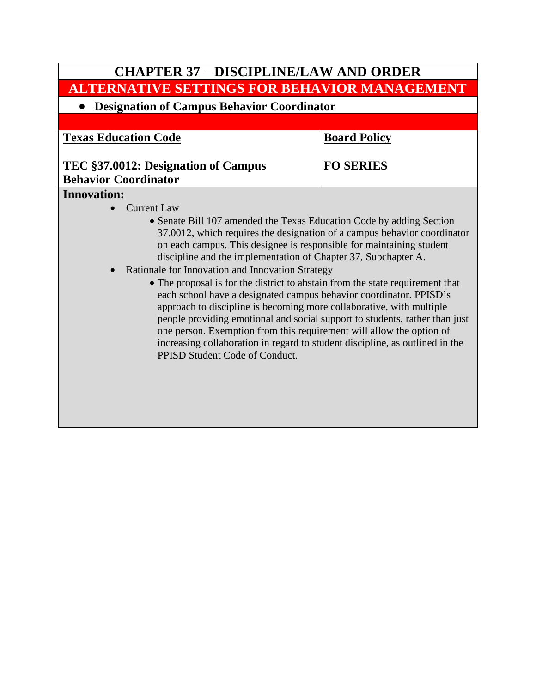# **CHAPTER 37 – DISCIPLINE/LAW AND ORDER ALTERNATIVE SETTINGS FOR BEHAVIOR MANAGEMENT Designation of Campus Behavior Coordinator Texas Education Code TEC §37.0012: Designation of Campus Behavior Coordinator Board Policy FO SERIES Innovation:** • Current Law Senate Bill 107 amended the Texas Education Code by adding Section 37.0012, which requires the designation of a campus behavior coordinator on each campus. This designee is responsible for maintaining student discipline and the implementation of Chapter 37, Subchapter A. • Rationale for Innovation and Innovation Strategy The proposal is for the district to abstain from the state requirement that each school have a designated campus behavior coordinator. PPISD's approach to discipline is becoming more collaborative, with multiple

PPISD Student Code of Conduct.

people providing emotional and social support to students, rather than just one person. Exemption from this requirement will allow the option of increasing collaboration in regard to student discipline, as outlined in the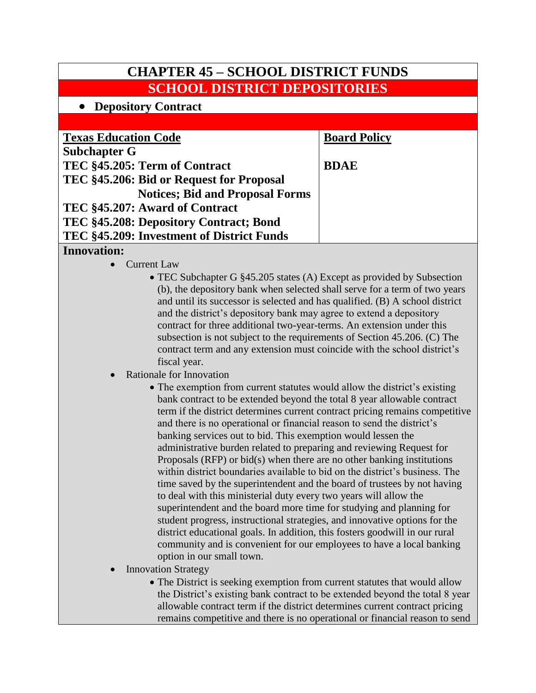| <b>CHAPTER 45 - SCHOOL DISTRICT FUNDS</b> |                     |  |
|-------------------------------------------|---------------------|--|
| <b>SCHOOL DISTRICT DEPOSITORIES</b>       |                     |  |
| • Depository Contract                     |                     |  |
|                                           |                     |  |
| <b>Texas Education Code</b>               | <b>Board Policy</b> |  |
| <b>Subchapter G</b>                       |                     |  |
| TEC §45.205: Term of Contract             | <b>BDAE</b>         |  |
| TEC §45.206: Bid or Request for Proposal  |                     |  |
| <b>Notices; Bid and Proposal Forms</b>    |                     |  |
| TEC §45.207: Award of Contract            |                     |  |
| TEC §45.208: Depository Contract; Bond    |                     |  |
| TEC §45.209: Investment of District Funds |                     |  |
|                                           |                     |  |

### **Innovation:**

- Current Law
	- TEC Subchapter G §45.205 states (A) Except as provided by Subsection (b), the depository bank when selected shall serve for a term of two years and until its successor is selected and has qualified. (B) A school district and the district's depository bank may agree to extend a depository contract for three additional two-year-terms. An extension under this subsection is not subject to the requirements of Section 45.206. (C) The contract term and any extension must coincide with the school district's fiscal year.
- Rationale for Innovation
	- The exemption from current statutes would allow the district's existing bank contract to be extended beyond the total 8 year allowable contract term if the district determines current contract pricing remains competitive and there is no operational or financial reason to send the district's banking services out to bid. This exemption would lessen the administrative burden related to preparing and reviewing Request for Proposals (RFP) or bid(s) when there are no other banking institutions within district boundaries available to bid on the district's business. The time saved by the superintendent and the board of trustees by not having to deal with this ministerial duty every two years will allow the superintendent and the board more time for studying and planning for student progress, instructional strategies, and innovative options for the district educational goals. In addition, this fosters goodwill in our rural community and is convenient for our employees to have a local banking option in our small town.
- Innovation Strategy
	- The District is seeking exemption from current statutes that would allow the District's existing bank contract to be extended beyond the total 8 year allowable contract term if the district determines current contract pricing remains competitive and there is no operational or financial reason to send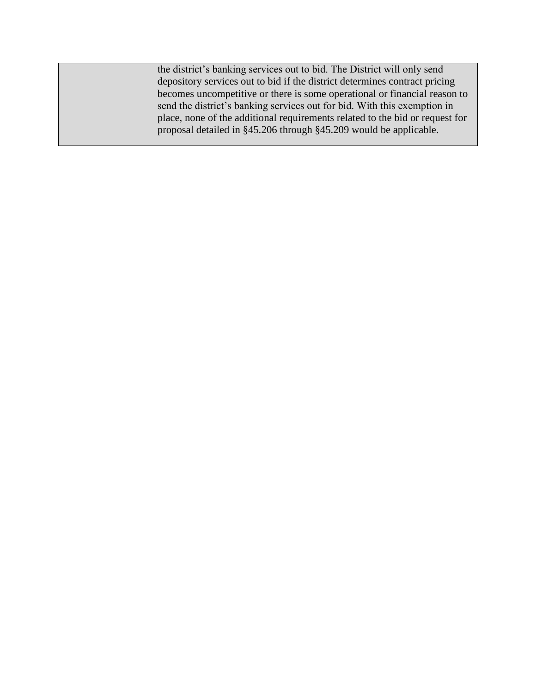the district's banking services out to bid. The District will only send depository services out to bid if the district determines contract pricing becomes uncompetitive or there is some operational or financial reason to send the district's banking services out for bid. With this exemption in place, none of the additional requirements related to the bid or request for proposal detailed in §45.206 through §45.209 would be applicable.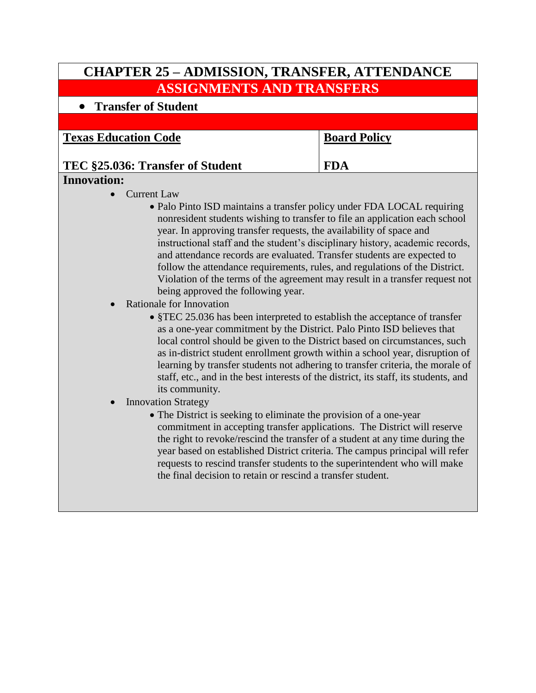| <b>CHAPTER 25 - ADMISSION, TRANSFER, ATTENDANCE</b>                                                                                                                                                                                                                                                                                                                                                                                                                                                                                                                                                                                                                                                                                                                                                                                                                                                                                                                                                                                                                                                                                                                                                                                                                                                                                                                                                                                                                                                                                                                                                                                                           |                     |
|---------------------------------------------------------------------------------------------------------------------------------------------------------------------------------------------------------------------------------------------------------------------------------------------------------------------------------------------------------------------------------------------------------------------------------------------------------------------------------------------------------------------------------------------------------------------------------------------------------------------------------------------------------------------------------------------------------------------------------------------------------------------------------------------------------------------------------------------------------------------------------------------------------------------------------------------------------------------------------------------------------------------------------------------------------------------------------------------------------------------------------------------------------------------------------------------------------------------------------------------------------------------------------------------------------------------------------------------------------------------------------------------------------------------------------------------------------------------------------------------------------------------------------------------------------------------------------------------------------------------------------------------------------------|---------------------|
| <b>ASSIGNMENTS AND TRANSFERS</b>                                                                                                                                                                                                                                                                                                                                                                                                                                                                                                                                                                                                                                                                                                                                                                                                                                                                                                                                                                                                                                                                                                                                                                                                                                                                                                                                                                                                                                                                                                                                                                                                                              |                     |
| <b>Transfer of Student</b>                                                                                                                                                                                                                                                                                                                                                                                                                                                                                                                                                                                                                                                                                                                                                                                                                                                                                                                                                                                                                                                                                                                                                                                                                                                                                                                                                                                                                                                                                                                                                                                                                                    |                     |
|                                                                                                                                                                                                                                                                                                                                                                                                                                                                                                                                                                                                                                                                                                                                                                                                                                                                                                                                                                                                                                                                                                                                                                                                                                                                                                                                                                                                                                                                                                                                                                                                                                                               |                     |
| <b>Texas Education Code</b>                                                                                                                                                                                                                                                                                                                                                                                                                                                                                                                                                                                                                                                                                                                                                                                                                                                                                                                                                                                                                                                                                                                                                                                                                                                                                                                                                                                                                                                                                                                                                                                                                                   | <b>Board Policy</b> |
| TEC §25.036: Transfer of Student                                                                                                                                                                                                                                                                                                                                                                                                                                                                                                                                                                                                                                                                                                                                                                                                                                                                                                                                                                                                                                                                                                                                                                                                                                                                                                                                                                                                                                                                                                                                                                                                                              | <b>FDA</b>          |
| <b>Innovation:</b>                                                                                                                                                                                                                                                                                                                                                                                                                                                                                                                                                                                                                                                                                                                                                                                                                                                                                                                                                                                                                                                                                                                                                                                                                                                                                                                                                                                                                                                                                                                                                                                                                                            |                     |
| <b>Current Law</b><br>• Palo Pinto ISD maintains a transfer policy under FDA LOCAL requiring<br>nonresident students wishing to transfer to file an application each school<br>year. In approving transfer requests, the availability of space and<br>instructional staff and the student's disciplinary history, academic records,<br>and attendance records are evaluated. Transfer students are expected to<br>follow the attendance requirements, rules, and regulations of the District.<br>Violation of the terms of the agreement may result in a transfer request not<br>being approved the following year.<br>Rationale for Innovation<br>• §TEC 25.036 has been interpreted to establish the acceptance of transfer<br>as a one-year commitment by the District. Palo Pinto ISD believes that<br>local control should be given to the District based on circumstances, such<br>as in-district student enrollment growth within a school year, disruption of<br>learning by transfer students not adhering to transfer criteria, the morale of<br>staff, etc., and in the best interests of the district, its staff, its students, and<br>its community.<br><b>Innovation Strategy</b><br>• The District is seeking to eliminate the provision of a one-year<br>commitment in accepting transfer applications. The District will reserve<br>the right to revoke/rescind the transfer of a student at any time during the<br>year based on established District criteria. The campus principal will refer<br>requests to rescind transfer students to the superintendent who will make<br>the final decision to retain or rescind a transfer student. |                     |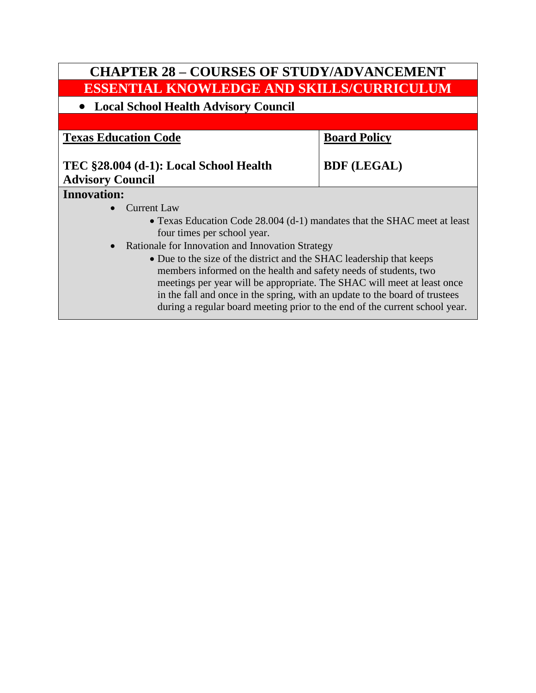# **CHAPTER 28 – COURSES OF STUDY/ADVANCEMENT ESSENTIAL KNOWLEDGE AND SKILLS/CURRICULUM Local School Health Advisory Council Texas Education Code TEC §28.004 (d-1): Local School Health Advisory Council Board Policy BDF (LEGAL) Innovation:** • Current Law Texas Education Code 28.004 (d-1) mandates that the SHAC meet at least four times per school year. • Rationale for Innovation and Innovation Strategy • Due to the size of the district and the SHAC leadership that keeps members informed on the health and safety needs of students, two meetings per year will be appropriate. The SHAC will meet at least once in the fall and once in the spring, with an update to the board of trustees during a regular board meeting prior to the end of the current school year.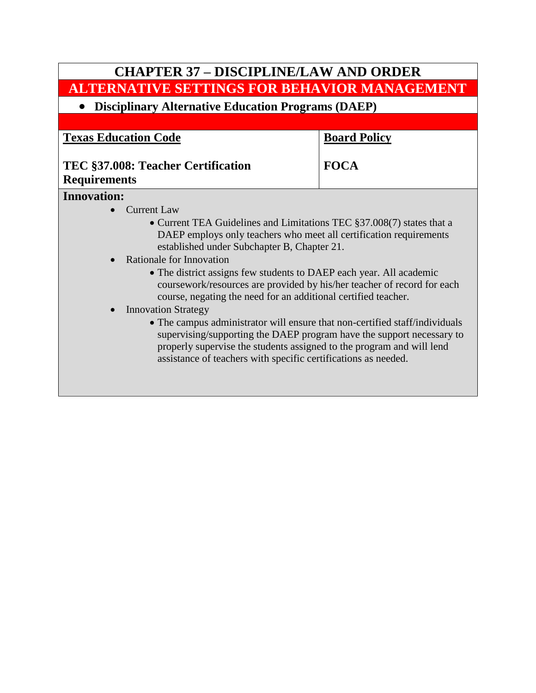| <b>CHAPTER 37 - DISCIPLINE/LAW AND ORDER</b>                                                                                                                                                                                                                                                                                                                                                                                                                                                                                                                                                                                                                                                                                                                                                      |                     |  |
|---------------------------------------------------------------------------------------------------------------------------------------------------------------------------------------------------------------------------------------------------------------------------------------------------------------------------------------------------------------------------------------------------------------------------------------------------------------------------------------------------------------------------------------------------------------------------------------------------------------------------------------------------------------------------------------------------------------------------------------------------------------------------------------------------|---------------------|--|
| <b>ALTERNATIVE SETTINGS FOR BEHAVIOR MANAGEMENT</b>                                                                                                                                                                                                                                                                                                                                                                                                                                                                                                                                                                                                                                                                                                                                               |                     |  |
| <b>Disciplinary Alternative Education Programs (DAEP)</b>                                                                                                                                                                                                                                                                                                                                                                                                                                                                                                                                                                                                                                                                                                                                         |                     |  |
|                                                                                                                                                                                                                                                                                                                                                                                                                                                                                                                                                                                                                                                                                                                                                                                                   |                     |  |
| <b>Texas Education Code</b>                                                                                                                                                                                                                                                                                                                                                                                                                                                                                                                                                                                                                                                                                                                                                                       | <b>Board Policy</b> |  |
| TEC §37.008: Teacher Certification<br><b>Requirements</b>                                                                                                                                                                                                                                                                                                                                                                                                                                                                                                                                                                                                                                                                                                                                         | <b>FOCA</b>         |  |
| <b>Innovation:</b>                                                                                                                                                                                                                                                                                                                                                                                                                                                                                                                                                                                                                                                                                                                                                                                |                     |  |
| <b>Current Law</b><br>• Current TEA Guidelines and Limitations TEC §37.008(7) states that a<br>DAEP employs only teachers who meet all certification requirements<br>established under Subchapter B, Chapter 21.<br>Rationale for Innovation<br>• The district assigns few students to DAEP each year. All academic<br>coursework/resources are provided by his/her teacher of record for each<br>course, negating the need for an additional certified teacher.<br><b>Innovation Strategy</b><br>• The campus administrator will ensure that non-certified staff/individuals<br>supervising/supporting the DAEP program have the support necessary to<br>properly supervise the students assigned to the program and will lend<br>assistance of teachers with specific certifications as needed. |                     |  |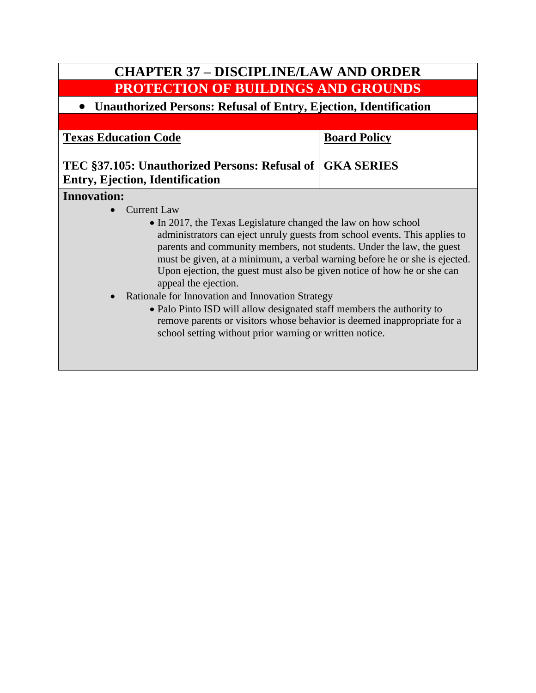# **CHAPTER 37 – DISCIPLINE/LAW AND ORDER PROTECTION OF BUILDINGS AND GROUNDS**

## **Unauthorized Persons: Refusal of Entry, Ejection, Identification**

**Texas Education Code**

**Board Policy**

# **TEC §37.105: Unauthorized Persons: Refusal of GKA SERIES Entry, Ejection, Identification**

### **Innovation:**

- Current Law
	- In 2017, the Texas Legislature changed the law on how school administrators can eject unruly guests from school events. This applies to parents and community members, not students. Under the law, the guest must be given, at a minimum, a verbal warning before he or she is ejected. Upon ejection, the guest must also be given notice of how he or she can appeal the ejection.
- Rationale for Innovation and Innovation Strategy
	- Palo Pinto ISD will allow designated staff members the authority to remove parents or visitors whose behavior is deemed inappropriate for a school setting without prior warning or written notice.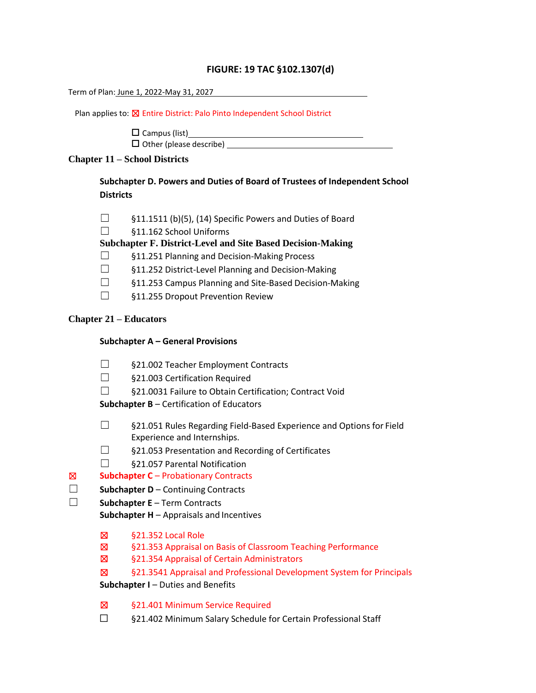### **FIGURE: 19 TAC §102.1307(d)**

Term of Plan: June 1, 2022-May 31, 2027

Plan applies to:  $\boxtimes$  Entire District: Palo Pinto Independent School District

 $\square$  Campus (list) Other (please describe)

### **Chapter 11 – School Districts**

**Subchapter D. Powers and Duties of Board of Trustees of Independent School Districts**

| $\Box$ |  |  | §11.1511 (b)(5), (14) Specific Powers and Duties of Board |
|--------|--|--|-----------------------------------------------------------|
|--------|--|--|-----------------------------------------------------------|

☐ §11.162 School Uniforms

**Subchapter F. District-Level and Site Based Decision-Making**

- ☐ §11.251 Planning and Decision-Making Process
- ☐ §11.252 District-Level Planning and Decision-Making
- ☐ §11.253 Campus Planning and Site-Based Decision-Making
- ☐ §11.255 Dropout Prevention Review

### **Chapter 21 – Educators**

### **Subchapter A – General Provisions**

- ☐ §21.002 Teacher Employment Contracts
- ☐ §21.003 Certification Required
- ☐ §21.0031 Failure to Obtain Certification; Contract Void

**Subchapter B** – Certification of Educators

- ☐ §21.051 Rules Regarding Field-Based Experience and Options for Field Experience and Internships.
- ☐ §21.053 Presentation and Recording of Certificates
- ☐ §21.057 Parental Notification

### ☒ **Subchapter C** – Probationary Contracts

- ☐ **Subchapter D**  Continuing Contracts
- ☐ **Subchapter E**  Term Contracts

**Subchapter H** – Appraisals and Incentives

- ☒ §21.352 Local Role
- ☒ §21.353 Appraisal on Basis of Classroom Teaching Performance
- ☒ §21.354 Appraisal of Certain Administrators
- ☒ §21.3541 Appraisal and Professional Development System for Principals

**Subchapter I** – Duties and Benefits

- ☒ §21.401 Minimum Service Required
- ☐ §21.402 Minimum Salary Schedule for Certain Professional Staff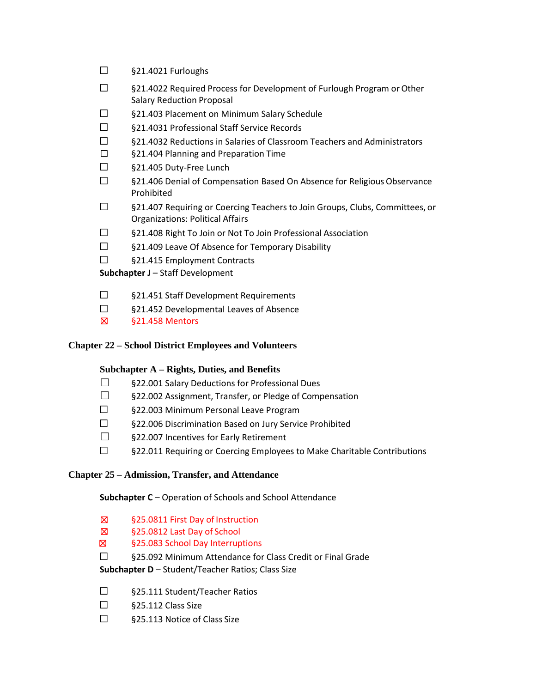- ☐ §21.4021 Furloughs
- ☐ §21.4022 Required Process for Development of Furlough Program orOther Salary Reduction Proposal
- ☐ §21.403 Placement on Minimum Salary Schedule
- ☐ §21.4031 Professional Staff Service Records
- ☐ §21.4032 Reductions in Salaries of Classroom Teachers and Administrators
- ☐ §21.404 Planning and Preparation Time
- ☐ §21.405 Duty-Free Lunch
- ☐ §21.406 Denial of Compensation Based On Absence for ReligiousObservance Prohibited
- ☐ §21.407 Requiring or Coercing Teachers to Join Groups, Clubs, Committees, or Organizations: Political Affairs
- ☐ §21.408 Right To Join or Not To Join Professional Association
- ☐ §21.409 Leave Of Absence for Temporary Disability
- ☐ §21.415 Employment Contracts

**Subchapter J** – Staff Development

- ☐ §21.451 Staff Development Requirements
- ☐ §21.452 Developmental Leaves of Absence
- ☒ §21.458 Mentors

### **Chapter 22 – School District Employees and Volunteers**

### **Subchapter A – Rights, Duties, and Benefits**

- $\square$  §22.001 Salary Deductions for Professional Dues
- ☐ §22.002 Assignment, Transfer, or Pledge of Compensation
- ☐ §22.003 Minimum Personal Leave Program
- ☐ §22.006 Discrimination Based on Jury Service Prohibited
- ☐ §22.007 Incentives for Early Retirement
- ☐ §22.011 Requiring or Coercing Employees to Make Charitable Contributions

### **Chapter 25 – Admission, Transfer, and Attendance**

### **Subchapter C** – Operation of Schools and School Attendance

- ☒ §25.0811 First Day of Instruction
- ☒ §25.0812 Last Day of School
- ☒ §25.083 School Day Interruptions
- ☐ §25.092 Minimum Attendance for Class Credit or Final Grade

### **Subchapter D** – Student/Teacher Ratios; Class Size

- ☐ §25.111 Student/Teacher Ratios
- $\square$  §25.112 Class Size
- ☐ §25.113 Notice of Class Size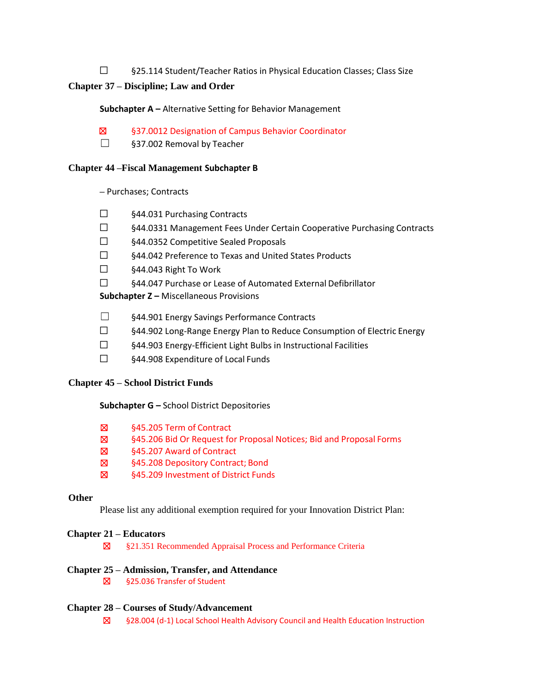☐ §25.114 Student/Teacher Ratios in Physical Education Classes; Class Size

### **Chapter 37 – Discipline; Law and Order**

### **Subchapter A –** Alternative Setting for Behavior Management

- ☒ §37.0012 Designation of Campus Behavior Coordinator
- ☐ §37.002 Removal by Teacher

### **Chapter 44 –Fiscal Management Subchapter B**

**–** Purchases; Contracts

- ☐ §44.031 Purchasing Contracts
- ☐ §44.0331 Management Fees Under Certain Cooperative Purchasing Contracts
- ☐ §44.0352 Competitive Sealed Proposals
- ☐ §44.042 Preference to Texas and United States Products
- ☐ §44.043 Right To Work
- ☐ §44.047 Purchase or Lease of Automated External Defibrillator

**Subchapter Z –** Miscellaneous Provisions

- ☐ §44.901 Energy Savings Performance Contracts
- ☐ §44.902 Long-Range Energy Plan to Reduce Consumption of Electric Energy
- ☐ §44.903 Energy-Efficient Light Bulbs in Instructional Facilities
- ☐ §44.908 Expenditure of Local Funds

### **Chapter 45 – School District Funds**

### **Subchapter G –** School District Depositories

- ☒ §45.205 Term of Contract
- ☒ §45.206 Bid Or Request for Proposal Notices; Bid and Proposal Forms
- ☒ §45.207 Award of Contract
- ☒ §45.208 Depository Contract; Bond
- ☒ §45.209 Investment of District Funds

### **Other**

Please list any additional exemption required for your Innovation District Plan:

### **Chapter 21 – Educators**

☒ §21.351 Recommended Appraisal Process and Performance Criteria

### **Chapter 25 – Admission, Transfer, and Attendance**

☒ §25.036 Transfer of Student

### **Chapter 28 – Courses of Study/Advancement**

☒ §28.004 (d-1) Local School Health Advisory Council and Health Education Instruction